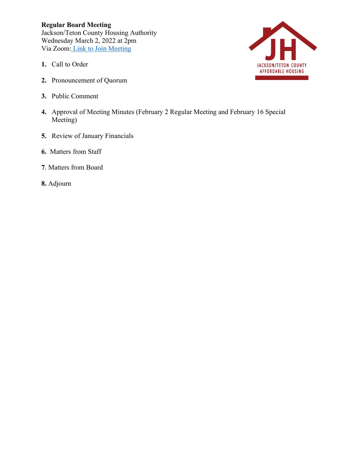**Regular Board Meeting** Jackson/Teton County Housing Authority Wednesday March 2, 2022 at 2pm Via Zoom: [Link to Join Meeting](https://us06web.zoom.us/j/89864124634?pwd=WVh4eDNNTUNQdloweHVUQkFuSGM2QT09)

- **1.** Call to Order
- **2.** Pronouncement of Quorum
- **3.** Public Comment
- **4.** Approval of Meeting Minutes (February 2 Regular Meeting and February 16 Special Meeting)
- **5.** Review of January Financials
- **6.** Matters from Staff
- **7**. Matters from Board
- **8.** Adjourn

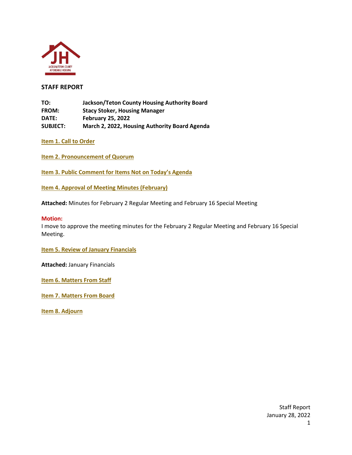

# **STAFF REPORT**

**TO: Jackson/Teton County Housing Authority Board FROM: Stacy Stoker, Housing Manager DATE: February 25, 2022 SUBJECT: March 2, 2022, Housing Authority Board Agenda**

**Item 1. Call to Order**

**Item 2. Pronouncement of Quorum**

**Item 3. Public Comment for Items Not on Today's Agenda**

**Item 4. Approval of Meeting Minutes (February)**

**Attached:** Minutes for February 2 Regular Meeting and February 16 Special Meeting

#### **Motion:**

I move to approve the meeting minutes for the February 2 Regular Meeting and February 16 Special Meeting.

**Item 5. Review of January Financials**

**Attached:** January Financials

**Item 6. Matters From Staff**

**Item 7. Matters From Board**

**Item 8. Adjourn**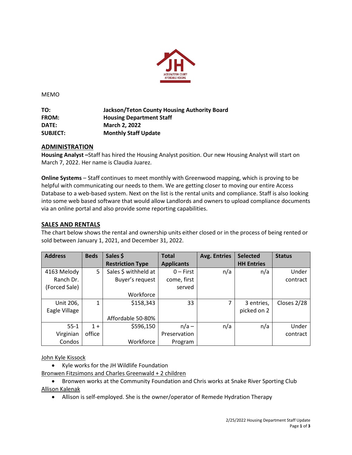

MEMO

**TO: Jackson/Teton County Housing Authority Board FROM: Housing Department Staff DATE: March 2, 2022 SUBJECT: Monthly Staff Update**

# **ADMINISTRATION**

**Housing Analyst –**Staff has hired the Housing Analyst position. Our new Housing Analyst will start on March 7, 2022. Her name is Claudia Juarez.

**Online Systems** – Staff continues to meet monthly with Greenwood mapping, which is proving to be helpful with communicating our needs to them. We are getting closer to moving our entire Access Database to a web-based system. Next on the list is the rental units and compliance. Staff is also looking into some web based software that would allow Landlords and owners to upload compliance documents via an online portal and also provide some reporting capabilities.

# **SALES AND RENTALS**

The chart below shows the rental and ownership units either closed or in the process of being rented or sold between January 1, 2021, and December 31, 2022.

| <b>Address</b> | <b>Beds</b> | Sales \$                | <b>Total</b>      | <b>Avg. Entries</b> | <b>Selected</b>   | <b>Status</b> |
|----------------|-------------|-------------------------|-------------------|---------------------|-------------------|---------------|
|                |             | <b>Restriction Type</b> | <b>Applicants</b> |                     | <b>HH Entries</b> |               |
| 4163 Melody    | 5           | Sales \$ withheld at    | $0$ – First       | n/a                 | n/a               | Under         |
| Ranch Dr.      |             | Buyer's request         | come, first       |                     |                   | contract      |
| (Forced Sale)  |             |                         | served            |                     |                   |               |
|                |             | Workforce               |                   |                     |                   |               |
| Unit 206,      | 1           | \$158,343               | 33                | 7                   | 3 entries,        | Closes 2/28   |
| Eagle Village  |             |                         |                   |                     | picked on 2       |               |
|                |             | Affordable 50-80%       |                   |                     |                   |               |
| $55 - 1$       | $1 +$       | \$596,150               | $n/a -$           | n/a                 | n/a               | Under         |
| Virginian      | office      |                         | Preservation      |                     |                   | contract      |
| Condos         |             | Workforce               | Program           |                     |                   |               |

John Kyle Kissock

• Kyle works for the JH Wildlife Foundation

Bronwen Fitzsimons and Charles Greenwald + 2 children

• Bronwen works at the Community Foundation and Chris works at Snake River Sporting Club Allison Kalenak

• Allison is self-employed. She is the owner/operator of Remede Hydration Therapy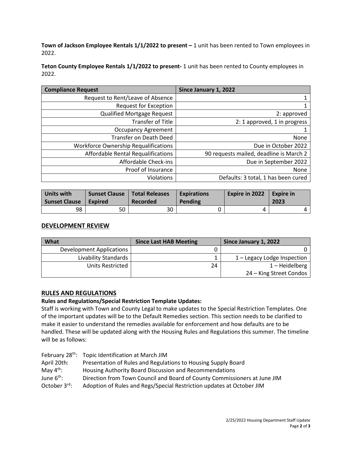**Town of Jackson Employee Rentals 1/1/2022 to present –** 1 unit has been rented to Town employees in 2022.

**Teton County Employee Rentals 1/1/2022 to present-** 1 unit has been rented to County employees in 2022.

| <b>Compliance Request</b>                   | Since January 1, 2022                   |
|---------------------------------------------|-----------------------------------------|
| Request to Rent/Leave of Absence            |                                         |
| <b>Request for Exception</b>                |                                         |
| <b>Qualified Mortgage Request</b>           | 2: approved                             |
| Transfer of Title                           | 2: 1 approved, 1 in progress            |
| <b>Occupancy Agreement</b>                  |                                         |
| Transfer on Death Deed                      | None                                    |
| <b>Workforce Ownership Requalifications</b> | Due in October 2022                     |
| Affordable Rental Requalifications          | 90 requests mailed, deadline is March 2 |
| Affordable Check-ins                        | Due in September 2022                   |
| Proof of Insurance                          | None                                    |
| <b>Violations</b>                           | Defaults: 3 total, 1 has been cured     |

| Units with    | <b>Sunset Clause</b> | <b>Total Releases</b> | <b>Expirations</b> | <b>Expire in 2022</b> | <b>Expire in</b> |
|---------------|----------------------|-----------------------|--------------------|-----------------------|------------------|
| Sunset Clause | Expired              | Recorded              | Pending            |                       | 2023             |
| 98            | 50                   | 30                    |                    |                       |                  |

# **DEVELOPMENT REVIEW**

| What                     | <b>Since Last HAB Meeting</b> | Since January 1, 2022       |
|--------------------------|-------------------------------|-----------------------------|
| Development Applications |                               |                             |
| Livability Standards     |                               | 1 – Legacy Lodge Inspection |
| Units Restricted         | 24                            | $1 - Heidelberg$            |
|                          |                               | 24 – King Street Condos     |

# **RULES AND REGULATIONS**

# **Rules and Regulations/Special Restriction Template Updates:**

Staff is working with Town and County Legal to make updates to the Special Restriction Templates. One of the important updates will be to the Default Remedies section. This section needs to be clarified to make it easier to understand the remedies available for enforcement and how defaults are to be handled. These will be updated along with the Housing Rules and Regulations this summer. The timeline will be as follows:

- February 28<sup>th</sup>: Topic Identification at March JIM
- April 20th: Presentation of Rules and Regulations to Housing Supply Board
- May 4<sup>th</sup>: Housing Authority Board Discussion and Recommendations
- June 6<sup>th</sup>: Direction from Town Council and Board of County Commissioners at June JIM
- October 3<sup>rd</sup>: Adoption of Rules and Regs/Special Restriction updates at October JIM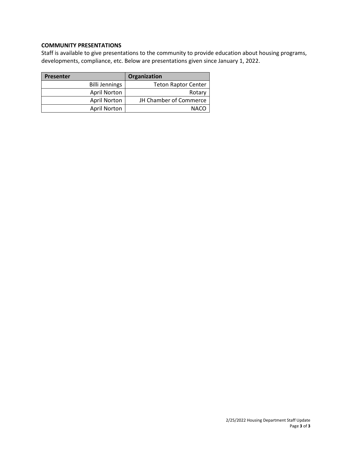# **COMMUNITY PRESENTATIONS**

Staff is available to give presentations to the community to provide education about housing programs, developments, compliance, etc. Below are presentations given since January 1, 2022.

| <b>Presenter</b>      | Organization                  |
|-----------------------|-------------------------------|
| <b>Billi Jennings</b> | <b>Teton Raptor Center</b>    |
| <b>April Norton</b>   | Rotary                        |
| <b>April Norton</b>   | <b>JH Chamber of Commerce</b> |
| <b>April Norton</b>   | <b>NACO</b>                   |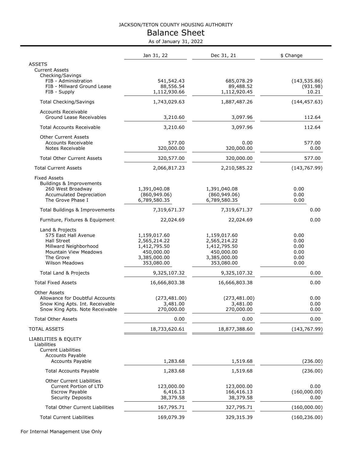# Balance Sheet As of January 31, 2022

|                                                                   | As or January 31, 2022        |                               |               |
|-------------------------------------------------------------------|-------------------------------|-------------------------------|---------------|
|                                                                   | Jan 31, 22                    | Dec 31, 21                    | \$ Change     |
| <b>ASSETS</b><br><b>Current Assets</b>                            |                               |                               |               |
| Checking/Savings                                                  |                               |                               |               |
| FIB - Administration                                              | 541,542.43                    | 685,078.29                    | (143, 535.86) |
| FIB - Millward Ground Lease                                       | 88,556.54                     | 89,488.52                     | (931.98)      |
| FIB - Supply                                                      | 1,112,930.66                  | 1,112,920.45                  | 10.21         |
| <b>Total Checking/Savings</b>                                     | 1,743,029.63                  | 1,887,487.26                  | (144, 457.63) |
| <b>Accounts Receivable</b><br>Ground Lease Receivables            | 3,210.60                      | 3,097.96                      | 112.64        |
| <b>Total Accounts Receivable</b>                                  | 3,210.60                      | 3,097.96                      | 112.64        |
|                                                                   |                               |                               |               |
| <b>Other Current Assets</b><br><b>Accounts Receivable</b>         | 577.00                        | 0.00                          | 577.00        |
| Notes Receivable                                                  | 320,000.00                    | 320,000.00                    | 0.00          |
| <b>Total Other Current Assets</b>                                 | 320,577.00                    | 320,000.00                    | 577.00        |
| <b>Total Current Assets</b>                                       | 2,066,817.23                  | 2,210,585.22                  | (143, 767.99) |
| <b>Fixed Assets</b>                                               |                               |                               |               |
| Buildings & Improvements                                          |                               |                               |               |
| 260 West Broadway                                                 | 1,391,040.08                  | 1,391,040.08                  | 0.00          |
| Accumulated Depreciation<br>The Grove Phase I                     | (860, 949.06)<br>6,789,580.35 | (860, 949.06)<br>6,789,580.35 | 0.00<br>0.00  |
|                                                                   |                               |                               |               |
| Total Buildings & Improvements                                    | 7,319,671.37                  | 7,319,671.37                  | 0.00          |
| Furniture, Fixtures & Equipment                                   | 22,024.69                     | 22,024.69                     | 0.00          |
| Land & Projects                                                   |                               |                               |               |
| 575 East Hall Avenue<br><b>Hall Street</b>                        | 1,159,017.60                  | 1,159,017.60                  | 0.00<br>0.00  |
| Millward Neighborhood                                             | 2,565,214.22<br>1,412,795.50  | 2,565,214.22<br>1,412,795.50  | 0.00          |
| <b>Mountain View Meadows</b>                                      | 450,000.00                    | 450,000.00                    | 0.00          |
| The Grove                                                         | 3,385,000.00                  | 3,385,000.00                  | 0.00          |
| <b>Wilson Meadows</b>                                             | 353,080.00                    | 353,080.00                    | 0.00          |
| Total Land & Projects                                             | 9,325,107.32                  | 9,325,107.32                  | 0.00          |
| <b>Total Fixed Assets</b>                                         | 16,666,803.38                 | 16,666,803.38                 | 0.00          |
| Other Assets                                                      |                               |                               |               |
| Allowance for Doubtful Accounts                                   | (273, 481.00)                 | (273, 481.00)                 | 0.00          |
| Snow King Apts. Int. Receivable                                   | 3,481.00                      | 3,481.00                      | 0.00          |
| Snow King Apts. Note Receivable                                   | 270,000.00                    | 270,000.00                    | 0.00          |
| <b>Total Other Assets</b>                                         | 0.00                          | 0.00                          | 0.00          |
| <b>TOTAL ASSETS</b>                                               | 18,733,620.61                 | 18,877,388.60                 | (143, 767.99) |
| LIABILITIES & EQUITY<br>Liabilities<br><b>Current Liabilities</b> |                               |                               |               |
| <b>Accounts Payable</b>                                           |                               |                               |               |
| <b>Accounts Payable</b>                                           | 1,283.68                      | 1,519.68                      | (236.00)      |
| <b>Total Accounts Payable</b>                                     | 1,283.68                      | 1,519.68                      | (236.00)      |
| Other Current Liabilities                                         |                               |                               |               |
| Current Portion of LTD                                            | 123,000.00                    | 123,000.00                    | 0.00          |
| Escrow Payable                                                    | 6,416.13                      | 166,416.13                    | (160,000.00)  |
| Security Deposits                                                 | 38,379.58                     | 38,379.58                     | 0.00          |
| <b>Total Other Current Liabilities</b>                            | 167,795.71                    | 327,795.71                    | (160,000.00)  |
| <b>Total Current Liabilities</b>                                  | 169,079.39                    | 329,315.39                    | (160, 236.00) |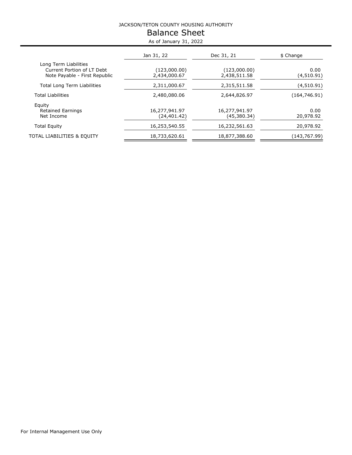# Balance Sheet As of January 31, 2022

|                                                                                      | Jan 31, 22                    | Dec 31, 21                   | \$ Change          |
|--------------------------------------------------------------------------------------|-------------------------------|------------------------------|--------------------|
| Long Term Liabilities<br>Current Portion of LT Debt<br>Note Payable - First Republic | (123,000.00)<br>2,434,000.67  | (123,000.00)<br>2,438,511.58 | 0.00<br>(4,510.91) |
| <b>Total Long Term Liabilities</b>                                                   | 2,311,000.67                  | 2,315,511.58                 | (4,510.91)         |
| <b>Total Liabilities</b>                                                             | 2,480,080.06                  | 2,644,826.97                 | (164, 746.91)      |
| Equity<br><b>Retained Earnings</b><br>Net Income                                     | 16,277,941.97<br>(24, 401.42) | 16,277,941.97<br>(45,380.34) | 0.00<br>20,978.92  |
| <b>Total Equity</b>                                                                  | 16,253,540.55                 | 16,232,561.63                | 20,978.92          |
| TOTAL LIABILITIES & EQUITY                                                           | 18,733,620.61                 | 18,877,388.60                | (143,767.99)       |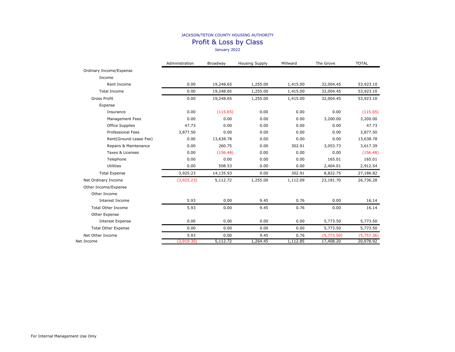Profit & Loss by Class

January 2022

|                            | Administration | Broadway  | <b>Housing Supply</b> | Millward | The Grove  | <b>TOTAL</b> |
|----------------------------|----------------|-----------|-----------------------|----------|------------|--------------|
| Ordinary Income/Expense    |                |           |                       |          |            |              |
| Income                     |                |           |                       |          |            |              |
| Rent Income                | 0.00           | 19,248.65 | 1,255.00              | 1,415.00 | 32,004.45  | 53,923.10    |
| <b>Total Income</b>        | 0.00           | 19,248.65 | 1,255.00              | 1,415.00 | 32,004.45  | 53,923.10    |
| Gross Profit               | 0.00           | 19,248.65 | 1,255.00              | 1,415.00 | 32,004.45  | 53,923.10    |
| Expense                    |                |           |                       |          |            |              |
| Insurance                  | 0.00           | (115.65)  | 0.00                  | 0.00     | 0.00       | (115.65)     |
| Management Fees            | 0.00           | 0.00      | 0.00                  | 0.00     | 3,200.00   | 3,200.00     |
| <b>Office Supplies</b>     | 47.73          | 0.00      | 0.00                  | 0.00     | 0.00       | 47.73        |
| <b>Professional Fees</b>   | 3,877.50       | 0.00      | 0.00                  | 0.00     | 0.00       | 3,877.50     |
| Rent(Ground Lease Fee)     | 0.00           | 13,638.78 | 0.00                  | 0.00     | 0.00       | 13,638.78    |
| Repairs & Maintenance      | 0.00           | 260.75    | 0.00                  | 302.91   | 3,053.73   | 3,617.39     |
| Taxes & Licenses           | 0.00           | (156.48)  | 0.00                  | 0.00     | 0.00       | (156.48)     |
| Telephone                  | 0.00           | 0.00      | 0.00                  | 0.00     | 165.01     | 165.01       |
| <b>Utilities</b>           | 0.00           | 508.53    | 0.00                  | 0.00     | 2,404.01   | 2,912.54     |
| <b>Total Expense</b>       | 3,925.23       | 14,135.93 | 0.00                  | 302.91   | 8,822.75   | 27,186.82    |
| Net Ordinary Income        | (3,925.23)     | 5,112.72  | 1,255.00              | 1,112.09 | 23,181.70  | 26,736.28    |
| Other Income/Expense       |                |           |                       |          |            |              |
| Other Income               |                |           |                       |          |            |              |
| Interest Income            | 5.93           | 0.00      | 9.45                  | 0.76     | 0.00       | 16.14        |
| <b>Total Other Income</b>  | 5.93           | 0.00      | 9.45                  | 0.76     | 0.00       | 16.14        |
| Other Expense              |                |           |                       |          |            |              |
| <b>Interest Expense</b>    | 0.00           | 0.00      | 0.00                  | 0.00     | 5,773.50   | 5,773.50     |
| <b>Total Other Expense</b> | 0.00           | 0.00      | 0.00                  | 0.00     | 5,773.50   | 5,773.50     |
| Net Other Income           | 5.93           | 0.00      | 9.45                  | 0.76     | (5,773.50) | (5,757.36)   |
| Net Income                 | (3,919.30)     | 5,112.72  | 1,264.45              | 1,112.85 | 17,408.20  | 20,978.92    |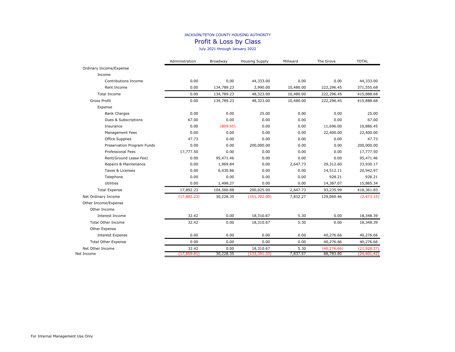Profit & Loss by Class

July 2021 through January 2022

|                            | Administration | Broadway   | <b>Housing Supply</b> | Millward  | The Grove    | <b>TOTAL</b> |
|----------------------------|----------------|------------|-----------------------|-----------|--------------|--------------|
| Ordinary Income/Expense    |                |            |                       |           |              |              |
| Income                     |                |            |                       |           |              |              |
| Contributions Income       | 0.00           | 0.00       | 44,333.00             | 0.00      | 0.00         | 44,333.00    |
| Rent Income                | 0.00           | 134,789.23 | 3,990.00              | 10,480.00 | 222,296.45   | 371,555.68   |
| <b>Total Income</b>        | 0.00           | 134,789.23 | 48,323.00             | 10,480.00 | 222,296.45   | 415,888.68   |
| Gross Profit               | 0.00           | 134,789.23 | 48,323.00             | 10,480.00 | 222,296.45   | 415,888.68   |
| Expense                    |                |            |                       |           |              |              |
| <b>Bank Charges</b>        | 0.00           | 0.00       | 25.00                 | 0.00      | 0.00         | 25.00        |
| Dues & Subscriptions       | 67.00          | 0.00       | 0.00                  | 0.00      | 0.00         | 67.00        |
| Insurance                  | 0.00           | (809.55)   | 0.00                  | 0.00      | 11,696.00    | 10,886.45    |
| Management Fees            | 0.00           | 0.00       | 0.00                  | 0.00      | 22,400.00    | 22,400.00    |
| Office Supplies            | 47.73          | 0.00       | 0.00                  | 0.00      | 0.00         | 47.73        |
| Preservation Program Funds | 0.00           | 0.00       | 200,000.00            | 0.00      | 0.00         | 200,000.00   |
| <b>Professional Fees</b>   | 17,777.50      | 0.00       | 0.00                  | 0.00      | 0.00         | 17,777.50    |
| Rent(Ground Lease Fee)     | 0.00           | 95,471.46  | 0.00                  | 0.00      | 0.00         | 95,471.46    |
| Repairs & Maintenance      | 0.00           | 1,969.84   | 0.00                  | 2,647.73  | 29,312.60    | 33,930.17    |
| Taxes & Licenses           | 0.00           | 6,430.86   | 0.00                  | 0.00      | 14,512.11    | 20,942.97    |
| Telephone                  | 0.00           | 0.00       | 0.00                  | 0.00      | 928.21       | 928.21       |
| Utilities                  | 0.00           | 1,498.27   | 0.00                  | 0.00      | 14,387.07    | 15,885.34    |
| <b>Total Expense</b>       | 17,892.23      | 104,560.88 | 200,025.00            | 2,647.73  | 93,235.99    | 418,361.83   |
| Net Ordinary Income        | (17,892.23)    | 30,228.35  | (151, 702.00)         | 7,832.27  | 129,060.46   | (2, 473.15)  |
| Other Income/Expense       |                |            |                       |           |              |              |
| Other Income               |                |            |                       |           |              |              |
| Interest Income            | 32.42          | 0.00       | 18,310.67             | 5.30      | 0.00         | 18,348.39    |
| <b>Total Other Income</b>  | 32.42          | 0.00       | 18,310.67             | 5.30      | 0.00         | 18,348.39    |
| Other Expense              |                |            |                       |           |              |              |
| <b>Interest Expense</b>    | 0.00           | 0.00       | 0.00                  | 0.00      | 40,276.66    | 40,276.66    |
| <b>Total Other Expense</b> | 0.00           | 0.00       | 0.00                  | 0.00      | 40,276.66    | 40,276.66    |
| Net Other Income           | 32.42          | 0.00       | 18,310.67             | 5.30      | (40, 276.66) | (21, 928.27) |
| Net Income                 | (17, 859.81)   | 30,228.35  | (133, 391.33)         | 7,837.57  | 88,783.80    | (24, 401.42) |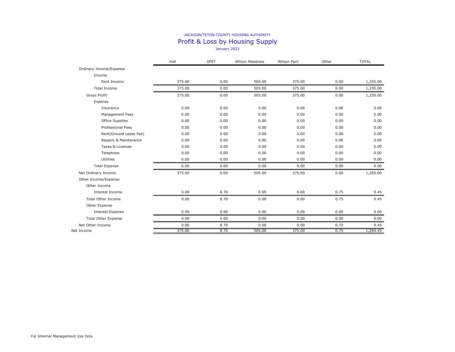#### JACKSON/TETON COUNTY HOUSING AUTHORITY Profit & Loss by Housing Supply January 2022

|                            | Hall   | <b>SPET</b> | <b>Wilson Meadows</b> | <b>Wilson Park</b> | Other | <b>TOTAL</b> |
|----------------------------|--------|-------------|-----------------------|--------------------|-------|--------------|
| Ordinary Income/Expense    |        |             |                       |                    |       |              |
| Income                     |        |             |                       |                    |       |              |
| Rent Income                | 375.00 | 0.00        | 505.00                | 375.00             | 0.00  | 1,255.00     |
| <b>Total Income</b>        | 375.00 | 0.00        | 505.00                | 375.00             | 0.00  | 1,255.00     |
| Gross Profit               | 375.00 | 0.00        | 505.00                | 375.00             | 0.00  | 1,255.00     |
| Expense                    |        |             |                       |                    |       |              |
| Insurance                  | 0.00   | 0.00        | 0.00                  | 0.00               | 0.00  | 0.00         |
| Management Fees            | 0.00   | 0.00        | 0.00                  | 0.00               | 0.00  | 0.00         |
| Office Supplies            | 0.00   | 0.00        | 0.00                  | 0.00               | 0.00  | 0.00         |
| <b>Professional Fees</b>   | 0.00   | 0.00        | 0.00                  | 0.00               | 0.00  | 0.00         |
| Rent(Ground Lease Fee)     | 0.00   | 0.00        | 0.00                  | 0.00               | 0.00  | 0.00         |
| Repairs & Maintenance      | 0.00   | 0.00        | 0.00                  | 0.00               | 0.00  | 0.00         |
| Taxes & Licenses           | 0.00   | 0.00        | 0.00                  | 0.00               | 0.00  | 0.00         |
| Telephone                  | 0.00   | 0.00        | 0.00                  | 0.00               | 0.00  | 0.00         |
| Utilities                  | 0.00   | 0.00        | 0.00                  | 0.00               | 0.00  | 0.00         |
| <b>Total Expense</b>       | 0.00   | 0.00        | 0.00                  | 0.00               | 0.00  | 0.00         |
| Net Ordinary Income        | 375.00 | 0.00        | 505.00                | 375.00             | 0.00  | 1,255.00     |
| Other Income/Expense       |        |             |                       |                    |       |              |
| Other Income               |        |             |                       |                    |       |              |
| Interest Income            | 0.00   | 8.70        | 0.00                  | 0.00               | 0.75  | 9.45         |
| <b>Total Other Income</b>  | 0.00   | 8.70        | 0.00                  | 0.00               | 0.75  | 9.45         |
| Other Expense              |        |             |                       |                    |       |              |
| Interest Expense           | 0.00   | 0.00        | 0.00                  | 0.00               | 0.00  | 0.00         |
| <b>Total Other Expense</b> | 0.00   | 0.00        | 0.00                  | 0.00               | 0.00  | 0.00         |
| Net Other Income           | 0.00   | 8.70        | 0.00                  | 0.00               | 0.75  | 9.45         |
| Net Income                 | 375.00 | 8.70        | 505.00                | 375.00             | 0.75  | 1,264.45     |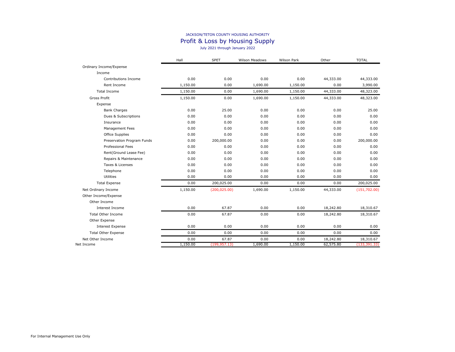#### JACKSON/TETON COUNTY HOUSING AUTHORITY Profit & Loss by Housing Supply July 2021 through January 2022

|                            | Hall     | <b>SPET</b>    | <b>Wilson Meadows</b> | Wilson Park | Other     | <b>TOTAL</b>  |
|----------------------------|----------|----------------|-----------------------|-------------|-----------|---------------|
| Ordinary Income/Expense    |          |                |                       |             |           |               |
| Income                     |          |                |                       |             |           |               |
| Contributions Income       | 0.00     | 0.00           | 0.00                  | 0.00        | 44,333.00 | 44,333.00     |
| Rent Income                | 1,150.00 | 0.00           | 1,690.00              | 1,150.00    | 0.00      | 3,990.00      |
| <b>Total Income</b>        | 1,150.00 | 0.00           | 1,690.00              | 1,150.00    | 44,333.00 | 48,323.00     |
| <b>Gross Profit</b>        | 1,150.00 | 0.00           | 1,690.00              | 1,150.00    | 44,333.00 | 48,323.00     |
| Expense                    |          |                |                       |             |           |               |
| <b>Bank Charges</b>        | 0.00     | 25.00          | 0.00                  | 0.00        | 0.00      | 25.00         |
| Dues & Subscriptions       | 0.00     | 0.00           | 0.00                  | 0.00        | 0.00      | 0.00          |
| Insurance                  | 0.00     | 0.00           | 0.00                  | 0.00        | 0.00      | 0.00          |
| Management Fees            | 0.00     | 0.00           | 0.00                  | 0.00        | 0.00      | 0.00          |
| Office Supplies            | 0.00     | 0.00           | 0.00                  | 0.00        | 0.00      | 0.00          |
| Preservation Program Funds | 0.00     | 200,000.00     | 0.00                  | 0.00        | 0.00      | 200,000.00    |
| <b>Professional Fees</b>   | 0.00     | 0.00           | 0.00                  | 0.00        | 0.00      | 0.00          |
| Rent(Ground Lease Fee)     | 0.00     | 0.00           | 0.00                  | 0.00        | 0.00      | 0.00          |
| Repairs & Maintenance      | 0.00     | 0.00           | 0.00                  | 0.00        | 0.00      | 0.00          |
| Taxes & Licenses           | 0.00     | 0.00           | 0.00                  | 0.00        | 0.00      | 0.00          |
| Telephone                  | 0.00     | 0.00           | 0.00                  | 0.00        | 0.00      | 0.00          |
| Utilities                  | 0.00     | 0.00           | 0.00                  | 0.00        | 0.00      | 0.00          |
| <b>Total Expense</b>       | 0.00     | 200,025.00     | 0.00                  | 0.00        | 0.00      | 200,025.00    |
| Net Ordinary Income        | 1,150.00 | (200, 025.00)  | 1,690.00              | 1,150.00    | 44,333.00 | (151, 702.00) |
| Other Income/Expense       |          |                |                       |             |           |               |
| Other Income               |          |                |                       |             |           |               |
| Interest Income            | 0.00     | 67.87          | 0.00                  | 0.00        | 18,242.80 | 18,310.67     |
| <b>Total Other Income</b>  | 0.00     | 67.87          | 0.00                  | 0.00        | 18,242.80 | 18,310.67     |
| Other Expense              |          |                |                       |             |           |               |
| <b>Interest Expense</b>    | 0.00     | 0.00           | 0.00                  | 0.00        | 0.00      | 0.00          |
| <b>Total Other Expense</b> | 0.00     | 0.00           | 0.00                  | 0.00        | 0.00      | 0.00          |
| Net Other Income           | 0.00     | 67.87          | 0.00                  | 0.00        | 18,242.80 | 18,310.67     |
| Net Income                 | 1,150.00 | (199, 957, 13) | 1,690.00              | 1,150.00    | 62,575.80 | (133, 391.33) |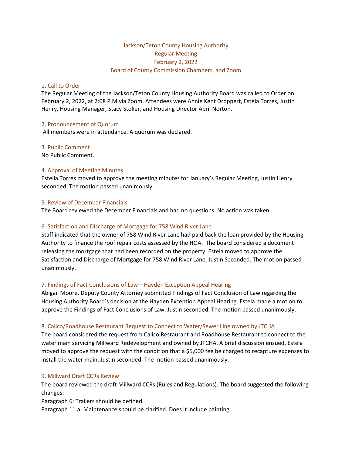# Jackson/Teton County Housing Authority Regular Meeting February 2, 2022 Board of County Commission Chambers, and Zoom

### 1. Call to Order

The Regular Meeting of the Jackson/Teton County Housing Authority Board was called to Order on February 2, 2022, at 2:08 P.M via Zoom. Attendees were Annie Kent Droppert, Estela Torres, Justin Henry, Housing Manager, Stacy Stoker, and Housing Director April Norton.

#### 2. Pronouncement of Quorum

All members were in attendance. A quorum was declared.

#### 3. Public Comment

No Public Comment.

#### 4. Approval of Meeting Minutes

Estella Torres moved to approve the meeting minutes for January's Regular Meeting, Justin Henry seconded. The motion passed unanimously.

#### 5. Review of December Financials

The Board reviewed the December Financials and had no questions. No action was taken.

# 6. Satisfaction and Discharge of Mortgage for 758 Wind River Lane

Staff indicated that the owner of 758 Wind River Lane had paid back the loan provided by the Housing Authority to finance the roof repair costs assessed by the HOA. The board considered a document releasing the mortgage that had been recorded on the property. Estela moved to approve the Satisfaction and Discharge of Mortgage for 758 Wind River Lane. Justin Seconded. The motion passed unanimously.

# 7. Findings of Fact Conclusions of Law – Hayden Exception Appeal Hearing

Abigail Moore, Deputy County Attorney submitted Findings of Fact Conclusion of Law regarding the Housing Authority Board's decision at the Hayden Exception Appeal Hearing. Estela made a motion to approve the Findings of Fact Conclusions of Law. Justin seconded. The motion passed unanimously.

# 8. Calico/Roadhouse Restaurant Request to Connect to Water/Sewer Line owned by JTCHA

The board considered the request from Calico Restaurant and Roadhouse Restaurant to connect to the water main servicing Millward Redevelopment and owned by JTCHA. A brief discussion ensued. Estela moved to approve the request with the condition that a \$5,000 fee be charged to recapture expenses to install the water main. Justin seconded. The motion passed unanimously.

# 9. Millward Draft CCRs Review

The board reviewed the draft Millward CCRs (Rules and Regulations). The board suggested the following changes:

Paragraph 6: Trailers should be defined.

Paragraph 11.a: Maintenance should be clarified. Does it include painting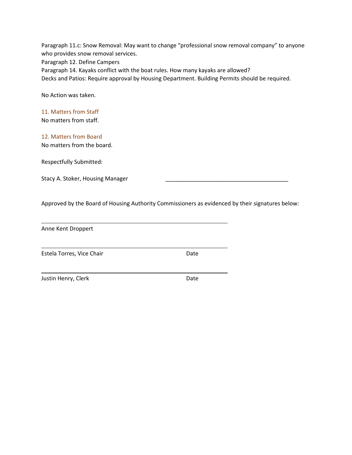Paragraph 11.c: Snow Removal: May want to change "professional snow removal company" to anyone who provides snow removal services.

Paragraph 12. Define Campers

Paragraph 14. Kayaks conflict with the boat rules. How many kayaks are allowed?

Decks and Patios: Require approval by Housing Department. Building Permits should be required.

No Action was taken.

# 11. Matters from Staff

No matters from staff.

# 12. Matters from Board

No matters from the board.

Respectfully Submitted:

Stacy A. Stoker, Housing Manager

Approved by the Board of Housing Authority Commissioners as evidenced by their signatures below:

Anne Kent Droppert

Estela Torres, Vice Chair **Date** Date

Justin Henry, Clerk **Date**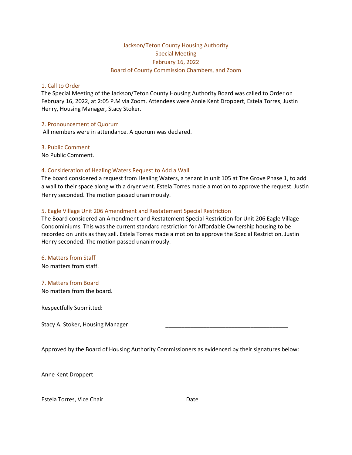# Jackson/Teton County Housing Authority Special Meeting February 16, 2022 Board of County Commission Chambers, and Zoom

#### 1. Call to Order

The Special Meeting of the Jackson/Teton County Housing Authority Board was called to Order on February 16, 2022, at 2:05 P.M via Zoom. Attendees were Annie Kent Droppert, Estela Torres, Justin Henry, Housing Manager, Stacy Stoker.

#### 2. Pronouncement of Quorum

All members were in attendance. A quorum was declared.

#### 3. Public Comment

No Public Comment.

# 4. Consideration of Healing Waters Request to Add a Wall

The board considered a request from Healing Waters, a tenant in unit 105 at The Grove Phase 1, to add a wall to their space along with a dryer vent. Estela Torres made a motion to approve the request. Justin Henry seconded. The motion passed unanimously.

#### 5. Eagle Village Unit 206 Amendment and Restatement Special Restriction

The Board considered an Amendment and Restatement Special Restriction for Unit 206 Eagle Village Condominiums. This was the current standard restriction for Affordable Ownership housing to be recorded on units as they sell. Estela Torres made a motion to approve the Special Restriction. Justin Henry seconded. The motion passed unanimously.

# 6. Matters from Staff

No matters from staff.

# 7. Matters from Board

No matters from the board.

Respectfully Submitted:

Stacy A. Stoker, Housing Manager

Approved by the Board of Housing Authority Commissioners as evidenced by their signatures below:

Anne Kent Droppert

Estela Torres, Vice Chair **Date** Date